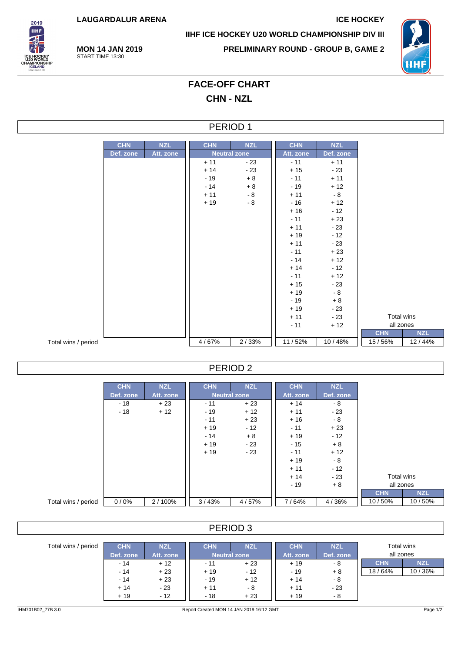**LAUGARDALUR ARENA ICE HOCKEY**

**MON 14 JAN 2019** START TIME 13:30



**IIHF ICE HOCKEY U20 WORLD CHAMPIONSHIP DIV III**

**PRELIMINARY ROUND - GROUP B, GAME 2**



# **FACE-OFF CHART CHN - NZL**

### PERIOD 1

|                     | <b>CHN</b> | <b>NZL</b> | <b>CHN</b> | <b>NZL</b>          | <b>CHN</b> | <b>NZL</b> |            |            |
|---------------------|------------|------------|------------|---------------------|------------|------------|------------|------------|
|                     | Def. zone  | Att. zone  |            | <b>Neutral zone</b> | Att. zone  | Def. zone  |            |            |
|                     |            |            | $+11$      | $-23$               | $-11$      | $+11$      |            |            |
|                     |            |            | $+14$      | $-23$               | $+15$      | $-23$      |            |            |
|                     |            |            | $-19$      | $+8$                | $-11$      | $+11$      |            |            |
|                     |            |            | $-14$      | $+8$                | $-19$      | $+12$      |            |            |
|                     |            |            | $+11$      | $-8$                | $+11$      | $-8$       |            |            |
|                     |            |            | $+19$      | $-8$                | $-16$      | $+12$      |            |            |
|                     |            |            |            |                     | $+16$      | $-12$      |            |            |
|                     |            |            |            |                     | $-11$      | $+23$      |            |            |
|                     |            |            |            |                     | $+11$      | $-23$      |            |            |
|                     |            |            |            |                     | $+19$      | $-12$      |            |            |
|                     |            |            |            |                     | $+11$      | $-23$      |            |            |
|                     |            |            |            |                     | $-11$      | $+23$      |            |            |
|                     |            |            |            |                     | $-14$      | $+12$      |            |            |
|                     |            |            |            |                     | $+14$      | $-12$      |            |            |
|                     |            |            |            |                     | $-11$      | $+12$      |            |            |
|                     |            |            |            |                     | $+15$      | $-23$      |            |            |
|                     |            |            |            |                     | $+19$      | $-8$       |            |            |
|                     |            |            |            |                     | $-19$      | $+8$       |            |            |
|                     |            |            |            |                     | $+19$      | $-23$      |            |            |
|                     |            |            |            |                     | $+11$      | $-23$      | Total wins |            |
|                     |            |            |            |                     | $-11$      | $+12$      | all zones  |            |
|                     |            |            |            |                     |            |            | <b>CHN</b> | <b>NZL</b> |
| Total wins / period |            |            | 4/67%      | 2/33%               | 11/52%     | 10/48%     | 15/56%     | 12/44%     |

#### PERIOD 2

|                     | <b>CHN</b> | <b>NZL</b> | <b>CHN</b> | <b>NZL</b>          | <b>CHN</b> | <b>NZL</b> |            |            |
|---------------------|------------|------------|------------|---------------------|------------|------------|------------|------------|
|                     | Def. zone  | Att. zone  |            | <b>Neutral zone</b> | Att. zone  | Def. zone  |            |            |
|                     | $-18$      | $+23$      | $-11$      | $+23$               | $+14$      | - 8        |            |            |
|                     | $-18$      | $+12$      | $-19$      | $+12$               | $+11$      | $-23$      |            |            |
|                     |            |            | $-11$      | $+23$               | $+16$      | $-8$       |            |            |
|                     |            |            | $+19$      | $-12$               | $-11$      | $+23$      |            |            |
|                     |            |            | $-14$      | $+8$                | $+19$      | $-12$      |            |            |
|                     |            |            | $+19$      | $-23$               | $-15$      | $+8$       |            |            |
|                     |            |            | $+19$      | $-23$               | $-11$      | $+12$      |            |            |
|                     |            |            |            |                     | $+19$      | $-8$       |            |            |
|                     |            |            |            |                     | $+11$      | $-12$      |            |            |
|                     |            |            |            |                     | $+14$      | $-23$      | Total wins |            |
|                     |            |            |            |                     | - 19       | $+8$       | all zones  |            |
|                     |            |            |            |                     |            |            | <b>CHN</b> | <b>NZL</b> |
| Total wins / period | 0/0%       | 2/100%     | 3/43%      | 4/57%               | 7/64%      | 4/36%      | 10/50%     | 10/50%     |

### PERIOD 3

| Total wins / period | <b>CHN</b><br>Def. zone | <b>NZI</b><br>Att. zone | <b>CHN</b>   | <b>NZL</b> | <b>CHN</b><br>Att. zone | <b>NZL</b><br>Def. zone | Total wins<br>all zones |            |
|---------------------|-------------------------|-------------------------|--------------|------------|-------------------------|-------------------------|-------------------------|------------|
|                     |                         |                         | Neutral zone |            |                         |                         |                         |            |
|                     | $-14$                   | $+12$                   | - 11         | $+23$      | $+19$                   | - 8                     | <b>CHN</b>              | <b>NZL</b> |
|                     | $-14$                   | $+23$                   | $+19$        | $-12$      | $-19$                   | $+8$                    | 18/64%                  | 10/36%     |
|                     | $-14$                   | $+23$                   | $-19$        | $+12$      | + 14                    | - 8                     |                         |            |
|                     | $+14$                   | $-23$                   | $+11$        | - 8        | + 11                    | $-23$                   |                         |            |
|                     | $+19$                   | $-12$                   | - 18         | $+23$      | $+19$                   | - 8                     |                         |            |